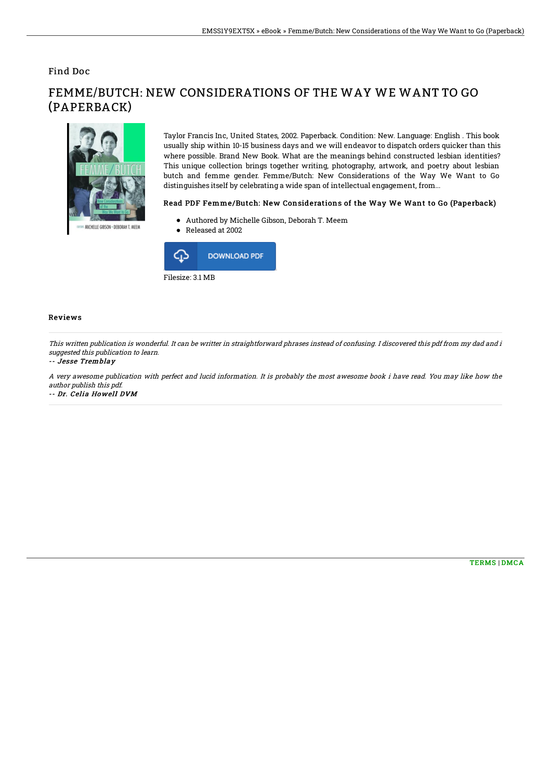### Find Doc



# FEMME/BUTCH: NEW CONSIDERATIONS OF THE WAY WE WANT TO GO (PAPERBACK)

Taylor Francis Inc, United States, 2002. Paperback. Condition: New. Language: English . This book usually ship within 10-15 business days and we will endeavor to dispatch orders quicker than this where possible. Brand New Book. What are the meanings behind constructed lesbian identities? This unique collection brings together writing, photography, artwork, and poetry about lesbian butch and femme gender. Femme/Butch: New Considerations of the Way We Want to Go distinguishes itself by celebrating a wide span of intellectual engagement, from...

#### Read PDF Femme/Butch: New Considerations of the Way We Want to Go (Paperback)

- Authored by Michelle Gibson, Deborah T. Meem
- Released at 2002



#### Reviews

This written publication is wonderful. It can be writter in straightforward phrases instead of confusing. I discovered this pdf from my dad and i suggested this publication to learn.

#### -- Jesse Tremblay

A very awesome publication with perfect and lucid information. It is probably the most awesome book i have read. You may like how the author publish this pdf.

-- Dr. Celia Howell DVM